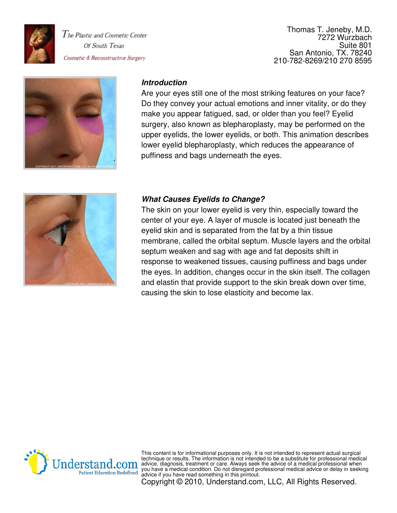

Thomas T. Jeneby, M.D. 7272 Wurzbach Suite 801 San Antonio, TX. 78240 210-782-8269/210 270 8595



### **Introduction**

Are your eyes still one of the most striking features on your face? Do they convey your actual emotions and inner vitality, or do they make you appear fatigued, sad, or older than you feel? Eyelid surgery, also known as blepharoplasty, may be performed on the upper eyelids, the lower eyelids, or both. This animation describes lower eyelid blepharoplasty, which reduces the appearance of puffiness and bags underneath the eyes.



### **What Causes Eyelids to Change?**

The skin on your lower eyelid is very thin, especially toward the center of your eye. A layer of muscle is located just beneath the eyelid skin and is separated from the fat by a thin tissue membrane, called the orbital septum. Muscle layers and the orbital septum weaken and sag with age and fat deposits shift in response to weakened tissues, causing puffiness and bags under the eyes. In addition, changes occur in the skin itself. The collagen and elastin that provide support to the skin break down over time, causing the skin to lose elasticity and become lax.



This content is for informational purposes only. It is not intended to represent actual surgical technique or results. The information is not intended to be a substitute for professional medical advice, diagnosis, treatment or care. Always seek the advice of a medical professional when you have a medical condition. Do not disregard professional medical advice or delay in seeking advice if you have read something in this printout.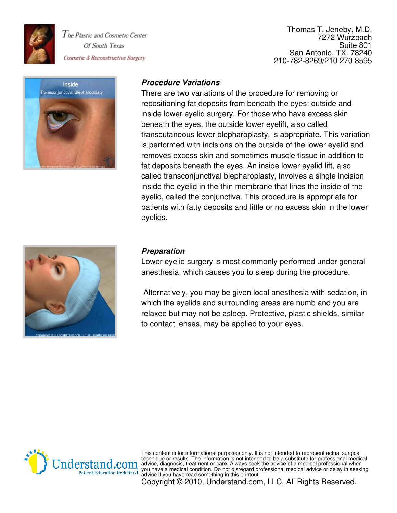

Thomas T. Jeneby, M.D. 7272 Wurzbach Suite 801 San Antonio, TX. 78240 210-782-8269/210 270 8595



### **Procedure Variations**

There are two variations of the procedure for removing or repositioning fat deposits from beneath the eyes: outside and inside lower eyelid surgery. For those who have excess skin beneath the eyes, the outside lower eyelift, also called transcutaneous lower blepharoplasty, is appropriate. This variation is performed with incisions on the outside of the lower eyelid and removes excess skin and sometimes muscle tissue in addition to fat deposits beneath the eyes. An inside lower eyelid lift, also called transconjunctival blepharoplasty, involves a single incision inside the eyelid in the thin membrane that lines the inside of the eyelid, called the conjunctiva. This procedure is appropriate for patients with fatty deposits and little or no excess skin in the lower eyelids.



#### **Preparation**

Lower eyelid surgery is most commonly performed under general anesthesia, which causes you to sleep during the procedure.

 Alternatively, you may be given local anesthesia with sedation, in which the eyelids and surrounding areas are numb and you are relaxed but may not be asleep. Protective, plastic shields, similar to contact lenses, may be applied to your eyes.



This content is for informational purposes only. It is not intended to represent actual surgical technique or results. The information is not intended to be a substitute for professional medical advice, diagnosis, treatment or care. Always seek the advice of a medical professional when you have a medical condition. Do not disregard professional medical advice or delay in seeking advice if you have read something in this printout.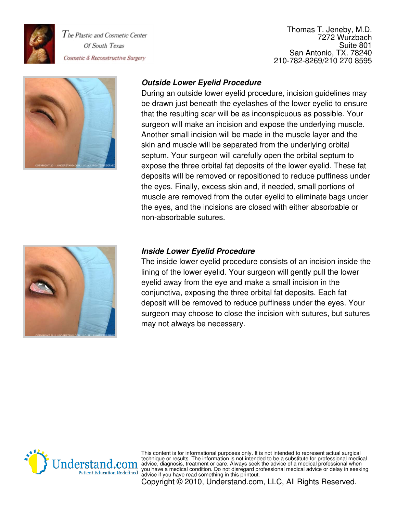

Thomas T. Jeneby, M.D. 7272 Wurzbach Suite 801 San Antonio, TX. 78240 210-782-8269/210 270 8595



# **Outside Lower Eyelid Procedure**

During an outside lower eyelid procedure, incision guidelines may be drawn just beneath the eyelashes of the lower eyelid to ensure that the resulting scar will be as inconspicuous as possible. Your surgeon will make an incision and expose the underlying muscle. Another small incision will be made in the muscle layer and the skin and muscle will be separated from the underlying orbital septum. Your surgeon will carefully open the orbital septum to expose the three orbital fat deposits of the lower eyelid. These fat deposits will be removed or repositioned to reduce puffiness under the eyes. Finally, excess skin and, if needed, small portions of muscle are removed from the outer eyelid to eliminate bags under the eyes, and the incisions are closed with either absorbable or non-absorbable sutures.



#### **Inside Lower Eyelid Procedure**

The inside lower eyelid procedure consists of an incision inside the lining of the lower eyelid. Your surgeon will gently pull the lower eyelid away from the eye and make a small incision in the conjunctiva, exposing the three orbital fat deposits. Each fat deposit will be removed to reduce puffiness under the eyes. Your surgeon may choose to close the incision with sutures, but sutures may not always be necessary.



This content is for informational purposes only. It is not intended to represent actual surgical technique or results. The information is not intended to be a substitute for professional medical advice, diagnosis, treatment or care. Always seek the advice of a medical professional when you have a medical condition. Do not disregard professional medical advice or delay in seeking advice if you have read something in this printout.